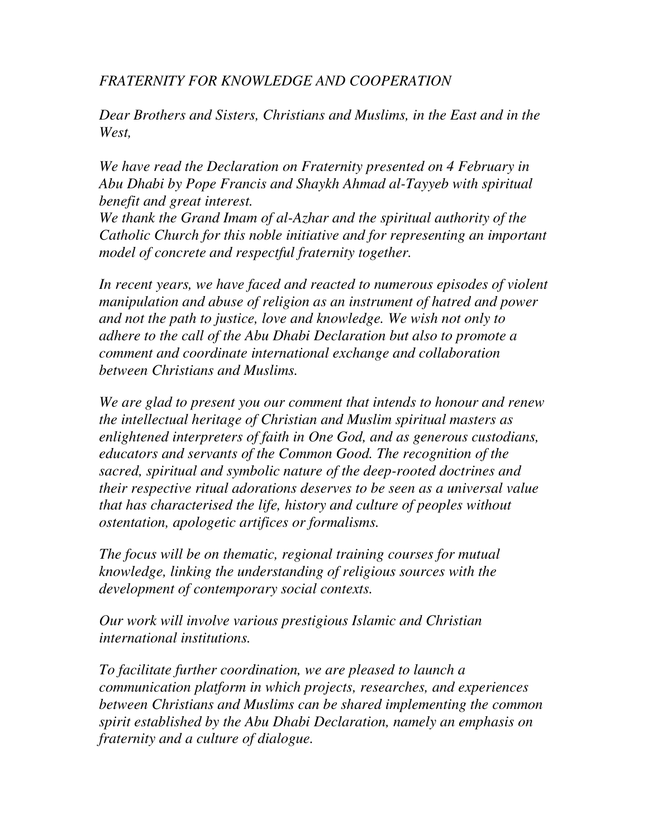*FRATERNITY FOR KNOWLEDGE AND COOPERATION* 

*Dear Brothers and Sisters, Christians and Muslims, in the East and in the West,* 

*We have read the Declaration on Fraternity presented on 4 February in Abu Dhabi by Pope Francis and Shaykh Ahmad al-Tayyeb with spiritual benefit and great interest.* 

*We thank the Grand Imam of al-Azhar and the spiritual authority of the Catholic Church for this noble initiative and for representing an important model of concrete and respectful fraternity together.* 

In recent years, we have faced and reacted to numerous episodes of violent *manipulation and abuse of religion as an instrument of hatred and power and not the path to justice, love and knowledge. We wish not only to adhere to the call of the Abu Dhabi Declaration but also to promote a comment and coordinate international exchange and collaboration between Christians and Muslims.* 

*We are glad to present you our comment that intends to honour and renew the intellectual heritage of Christian and Muslim spiritual masters as enlightened interpreters of faith in One God, and as generous custodians, educators and servants of the Common Good. The recognition of the sacred, spiritual and symbolic nature of the deep-rooted doctrines and their respective ritual adorations deserves to be seen as a universal value that has characterised the life, history and culture of peoples without ostentation, apologetic artifices or formalisms.* 

*The focus will be on thematic, regional training courses for mutual knowledge, linking the understanding of religious sources with the development of contemporary social contexts.* 

*Our work will involve various prestigious Islamic and Christian international institutions.* 

*To facilitate further coordination, we are pleased to launch a communication platform in which projects, researches, and experiences between Christians and Muslims can be shared implementing the common spirit established by the Abu Dhabi Declaration, namely an emphasis on fraternity and a culture of dialogue.*